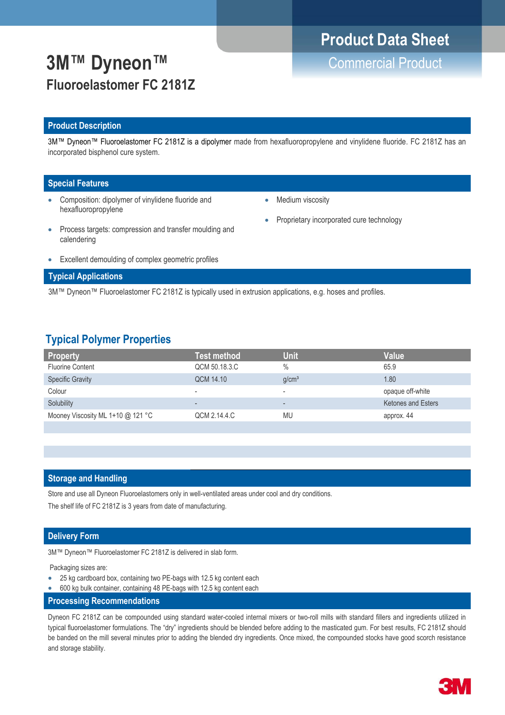# **Product Data Sheet**

# **3M™ Dyneon™** Commercial Product **Fluoroelastomer FC 2181Z**

### **Product Description**

3M™ Dyneon™ Fluoroelastomer FC 2181Z is a dipolymer made from hexafluoropropylene and vinylidene fluoride. FC 2181Z has an incorporated bisphenol cure system.

### **Special Features**

- Composition: dipolymer of vinylidene fluoride and hexafluoropropylene
- Medium viscosity
- Proprietary incorporated cure technology
- Process targets: compression and transfer moulding and calendering
- Excellent demoulding of complex geometric profiles

### **Typical Applications**

3M™ Dyneon™ Fluoroelastomer FC 2181Z is typically used in extrusion applications, e.g. hoses and profiles.

### **Typical Polymer Properties**

| <b>Property</b>                   | Test method              | <b>Unit</b>              | Value                     |
|-----------------------------------|--------------------------|--------------------------|---------------------------|
| <b>Fluorine Content</b>           | QCM 50.18.3.C            | $\frac{0}{0}$            | 65.9                      |
| <b>Specific Gravity</b>           | QCM 14.10                | q/cm <sup>3</sup>        | 1.80                      |
| Colour                            | $\overline{\phantom{a}}$ | $\overline{\phantom{a}}$ | opaque off-white          |
| Solubility                        | $\overline{\phantom{0}}$ | $\overline{\phantom{a}}$ | <b>Ketones and Esters</b> |
| Mooney Viscosity ML 1+10 @ 121 °C | QCM 2.14.4.C             | <b>MU</b>                | approx. 44                |
|                                   |                          |                          |                           |

### **Storage and Handling**

Store and use all Dyneon Fluoroelastomers only in well-ventilated areas under cool and dry conditions.

The shelf life of FC 2181Z is 3 years from date of manufacturing.

### **Delivery Form**

3M™ Dyneon™ Fluoroelastomer FC 2181Z is delivered in slab form.

Packaging sizes are:

- 25 kg cardboard box, containing two PE-bags with 12.5 kg content each
- 600 kg bulk container, containing 48 PE-bags with 12.5 kg content each
- **Processing Recommendations**

Dyneon FC 2181Z can be compounded using standard water-cooled internal mixers or two-roll mills with standard fillers and ingredients utilized in typical fluoroelastomer formulations. The "dry" ingredients should be blended before adding to the masticated gum. For best results, FC 2181Z should be banded on the mill several minutes prior to adding the blended dry ingredients. Once mixed, the compounded stocks have good scorch resistance and storage stability.

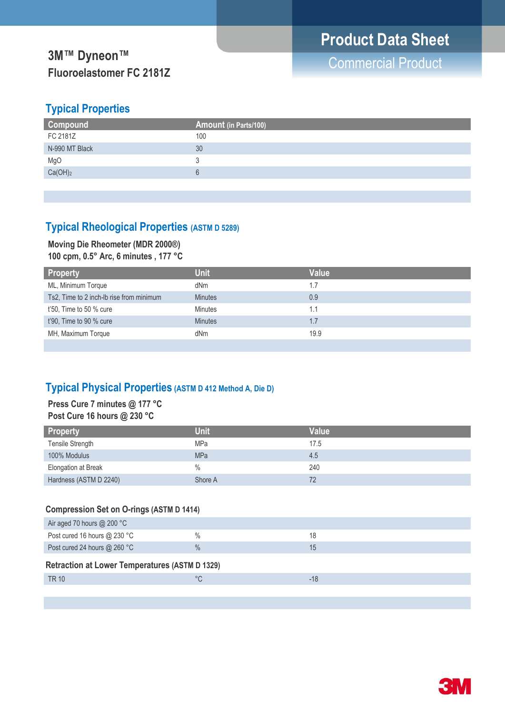# **3M™ Dyneon™**<br> **3M™ Dyneon™ Fluoroelastomer FC 2181Z**

## **Typical Properties**

| Compound            | Amount (in Parts/100) |
|---------------------|-----------------------|
| FC 2181Z            | 100                   |
| N-990 MT Black      | 30                    |
| MgO                 |                       |
| Ca(OH) <sub>2</sub> |                       |
|                     |                       |

## **Typical Rheological Properties (ASTM D 5289)**

# **Moving Die Rheometer (MDR 2000®)**

**100 cpm, 0.5° Arc, 6 minutes , 177 °C**

| <b>Property</b>                          | <b>Unit</b>    | Value |
|------------------------------------------|----------------|-------|
| ML, Minimum Torque                       | dNm            | 1.7   |
| Ts2, Time to 2 inch-Ib rise from minimum | <b>Minutes</b> | 0.9   |
| $t'50$ , Time to 50 % cure               | <b>Minutes</b> | 1.1   |
| $t'90$ . Time to 90 % cure               | <b>Minutes</b> | 1.7   |
| MH, Maximum Torque                       | dNm            | 19.9  |
|                                          |                |       |

## **Typical Physical Properties (ASTM D 412 Method A, Die D)**

### **Press Cure 7 minutes @ 177 °C Post Cure 16 hours @ 230 °C**

| <b>Property</b>        | <b>Unit</b>   | Value |
|------------------------|---------------|-------|
| Tensile Strength       | MPa           | 17.5  |
| 100% Modulus           | <b>MPa</b>    | 4.5   |
| Elongation at Break    | $\frac{0}{0}$ | 240   |
| Hardness (ASTM D 2240) | Shore A       | 72    |

### **Compression Set on O-rings (ASTM D 1414)**

| Air aged 70 hours $@$ 200 °C                          |               |     |
|-------------------------------------------------------|---------------|-----|
| Post cured 16 hours $@$ 230 °C                        | $\frac{0}{0}$ | 18  |
| Post cured 24 hours @ 260 °C                          | $\frac{0}{0}$ | 15  |
| <b>Retraction at Lower Temperatures (ASTM D 1329)</b> |               |     |
| TR 10                                                 | $^{\circ}C$   | -18 |
|                                                       |               |     |